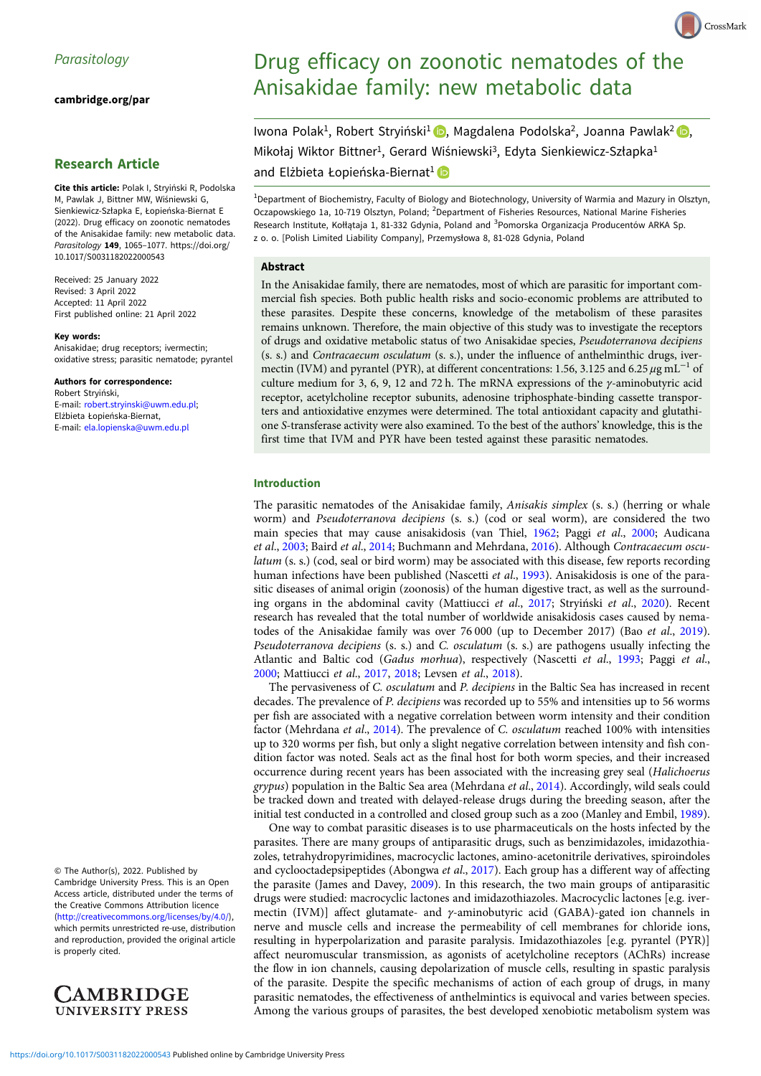[cambridge.org/par](https://www.cambridge.org/par)

# Research Article

Cite this article: Polak I, Stryiński R, Podolska M, Pawlak J, Bittner MW, Wiśniewski G, Sienkiewicz-Szłapka E, Łopieńska-Biernat E (2022). Drug efficacy on zoonotic nematodes of the Anisakidae family: new metabolic data. Parasitology 149, 1065-1077. [https://doi.org/](https://doi.org/10.1017/S0031182022000543) [10.1017/S0031182022000543](https://doi.org/10.1017/S0031182022000543)

Received: 25 January 2022 Revised: 3 April 2022 Accepted: 11 April 2022 First published online: 21 April 2022

#### Key words:

Anisakidae; drug receptors; ivermectin; oxidative stress; parasitic nematode; pyrantel

Authors for correspondence: Robert Stryiński, E-mail: [robert.stryinski@uwm.edu.pl](mailto:robert.stryinski@uwm.edu.pl); Elżbieta Łopieńska-Biernat, E-mail: [ela.lopienska@uwm.edu.pl](mailto:ela.lopienska@uwm.edu.pl)

© The Author(s), 2022. Published by Cambridge University Press. This is an Open Access article, distributed under the terms of the Creative Commons Attribution licence ([http://creativecommons.org/licenses/by/4.0/\)](http://creativecommons.org/licenses/by/4.0/), which permits unrestricted re-use, distribution and reproduction, provided the original article is properly cited.



# Drug efficacy on zoonotic nematodes of the Anisakidae family: new metabolic data

CrossMark

Iwona Polak<sup>1</sup>[,](https://orcid.org/0000-0001-5518-8854) Robert Stryiński<sup>1</sup> , Magdalena Podolska<sup>2</sup>, Joanna Pawlak<sup>2</sup> , Mikołaj Wiktor Bittner<sup>1</sup>, Gerard Wiśniewski<sup>3</sup>, Edyta Sienkiewicz-Szłapka<sup>1</sup> and Elżbieta Łopieńska-Biernat<sup>1</sup> i

<sup>1</sup> Department of Biochemistry, Faculty of Biology and Biotechnology, University of Warmia and Mazury in Olsztyn, Oczapowskiego 1a, 10-719 Olsztyn, Poland; <sup>2</sup>Department of Fisheries Resources, National Marine Fisheries Research Institute, Kołłątaja 1, 81-332 Gdynia, Poland and <sup>3</sup>Pomorska Organizacja Producentów ARKA Sp. z o. o. [Polish Limited Liability Company], Przemysłowa 8, 81-028 Gdynia, Poland

#### Abstract

In the Anisakidae family, there are nematodes, most of which are parasitic for important commercial fish species. Both public health risks and socio-economic problems are attributed to these parasites. Despite these concerns, knowledge of the metabolism of these parasites remains unknown. Therefore, the main objective of this study was to investigate the receptors of drugs and oxidative metabolic status of two Anisakidae species, Pseudoterranova decipiens (s. s.) and Contracaecum osculatum (s. s.), under the influence of anthelminthic drugs, ivermectin (IVM) and pyrantel (PYR), at different concentrations: 1.56, 3.125 and 6.25  $\mu$ g mL<sup>-1</sup> of culture medium for 3, 6, 9, 12 and 72 h. The mRNA expressions of the γ-aminobutyric acid receptor, acetylcholine receptor subunits, adenosine triphosphate-binding cassette transporters and antioxidative enzymes were determined. The total antioxidant capacity and glutathione S-transferase activity were also examined. To the best of the authors' knowledge, this is the first time that IVM and PYR have been tested against these parasitic nematodes.

## Introduction

The parasitic nematodes of the Anisakidae family, Anisakis simplex (s. s.) (herring or whale worm) and Pseudoterranova decipiens (s. s.) (cod or seal worm), are considered the two main species that may cause anisakidosis (van Thiel, [1962](#page-12-0); Paggi et al., [2000](#page-12-0); Audicana et al., [2003](#page-11-0); Baird et al., [2014;](#page-11-0) Buchmann and Mehrdana, [2016\)](#page-11-0). Although Contracaecum osculatum (s. s.) (cod, seal or bird worm) may be associated with this disease, few reports recording human infections have been published (Nascetti et al., [1993\)](#page-12-0). Anisakidosis is one of the parasitic diseases of animal origin (zoonosis) of the human digestive tract, as well as the surround-ing organs in the abdominal cavity (Mattiucci et al., [2017;](#page-11-0) Stryiński et al., [2020](#page-12-0)). Recent research has revealed that the total number of worldwide anisakidosis cases caused by nematodes of the Anisakidae family was over 76 000 (up to December 2017) (Bao et al., [2019](#page-11-0)). Pseudoterranova decipiens (s. s.) and C. osculatum (s. s.) are pathogens usually infecting the Atlantic and Baltic cod (Gadus morhua), respectively (Nascetti et al., [1993](#page-12-0); Paggi et al., [2000;](#page-12-0) Mattiucci et al., [2017](#page-11-0), [2018;](#page-12-0) Levsen et al., [2018\)](#page-11-0).

The pervasiveness of C. osculatum and P. decipiens in the Baltic Sea has increased in recent decades. The prevalence of P. decipiens was recorded up to 55% and intensities up to 56 worms per fish are associated with a negative correlation between worm intensity and their condition factor (Mehrdana et al., [2014](#page-12-0)). The prevalence of C. osculatum reached 100% with intensities up to 320 worms per fish, but only a slight negative correlation between intensity and fish condition factor was noted. Seals act as the final host for both worm species, and their increased occurrence during recent years has been associated with the increasing grey seal (Halichoerus grypus) population in the Baltic Sea area (Mehrdana et al., [2014](#page-12-0)). Accordingly, wild seals could be tracked down and treated with delayed-release drugs during the breeding season, after the initial test conducted in a controlled and closed group such as a zoo (Manley and Embil, [1989](#page-11-0)).

One way to combat parasitic diseases is to use pharmaceuticals on the hosts infected by the parasites. There are many groups of antiparasitic drugs, such as benzimidazoles, imidazothiazoles, tetrahydropyrimidines, macrocyclic lactones, amino-acetonitrile derivatives, spiroindoles and cyclooctadepsipeptides (Abongwa et al., [2017\)](#page-11-0). Each group has a different way of affecting the parasite (James and Davey, [2009\)](#page-11-0). In this research, the two main groups of antiparasitic drugs were studied: macrocyclic lactones and imidazothiazoles. Macrocyclic lactones [e.g. ivermectin (IVM)] affect glutamate- and γ-aminobutyric acid (GABA)-gated ion channels in nerve and muscle cells and increase the permeability of cell membranes for chloride ions, resulting in hyperpolarization and parasite paralysis. Imidazothiazoles [e.g. pyrantel (PYR)] affect neuromuscular transmission, as agonists of acetylcholine receptors (AChRs) increase the flow in ion channels, causing depolarization of muscle cells, resulting in spastic paralysis of the parasite. Despite the specific mechanisms of action of each group of drugs, in many parasitic nematodes, the effectiveness of anthelmintics is equivocal and varies between species. Among the various groups of parasites, the best developed xenobiotic metabolism system was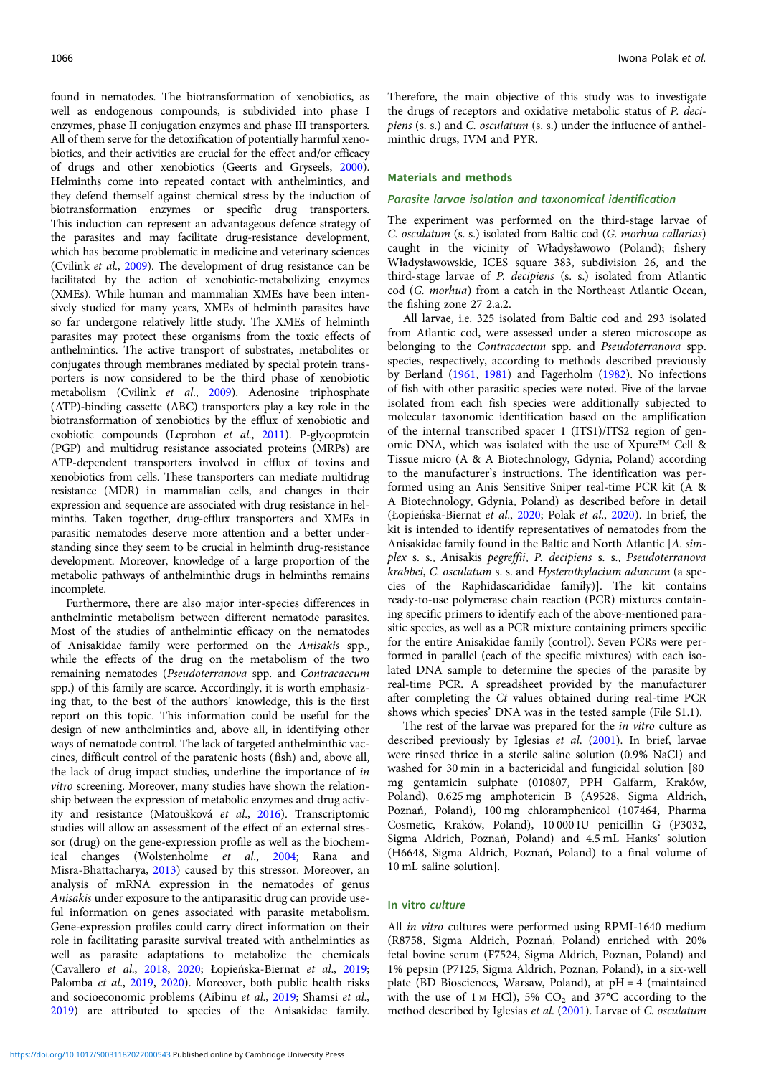found in nematodes. The biotransformation of xenobiotics, as well as endogenous compounds, is subdivided into phase I enzymes, phase II conjugation enzymes and phase III transporters. All of them serve for the detoxification of potentially harmful xenobiotics, and their activities are crucial for the effect and/or efficacy of drugs and other xenobiotics (Geerts and Gryseels, [2000\)](#page-11-0). Helminths come into repeated contact with anthelmintics, and they defend themself against chemical stress by the induction of biotransformation enzymes or specific drug transporters. This induction can represent an advantageous defence strategy of the parasites and may facilitate drug-resistance development, which has become problematic in medicine and veterinary sciences (Cvilink et al., [2009](#page-11-0)). The development of drug resistance can be facilitated by the action of xenobiotic-metabolizing enzymes (XMEs). While human and mammalian XMEs have been intensively studied for many years, XMEs of helminth parasites have so far undergone relatively little study. The XMEs of helminth parasites may protect these organisms from the toxic effects of anthelmintics. The active transport of substrates, metabolites or conjugates through membranes mediated by special protein transporters is now considered to be the third phase of xenobiotic metabolism (Cvilink et al., [2009](#page-11-0)). Adenosine triphosphate (ATP)-binding cassette (ABC) transporters play a key role in the biotransformation of xenobiotics by the efflux of xenobiotic and exobiotic compounds (Leprohon et al., [2011\)](#page-11-0). P-glycoprotein (PGP) and multidrug resistance associated proteins (MRPs) are ATP-dependent transporters involved in efflux of toxins and xenobiotics from cells. These transporters can mediate multidrug resistance (MDR) in mammalian cells, and changes in their expression and sequence are associated with drug resistance in helminths. Taken together, drug-efflux transporters and XMEs in parasitic nematodes deserve more attention and a better understanding since they seem to be crucial in helminth drug-resistance development. Moreover, knowledge of a large proportion of the metabolic pathways of anthelminthic drugs in helminths remains incomplete.

Furthermore, there are also major inter-species differences in anthelmintic metabolism between different nematode parasites. Most of the studies of anthelmintic efficacy on the nematodes of Anisakidae family were performed on the Anisakis spp., while the effects of the drug on the metabolism of the two remaining nematodes (Pseudoterranova spp. and Contracaecum spp.) of this family are scarce. Accordingly, it is worth emphasizing that, to the best of the authors' knowledge, this is the first report on this topic. This information could be useful for the design of new anthelmintics and, above all, in identifying other ways of nematode control. The lack of targeted anthelminthic vaccines, difficult control of the paratenic hosts (fish) and, above all, the lack of drug impact studies, underline the importance of in vitro screening. Moreover, many studies have shown the relationship between the expression of metabolic enzymes and drug activity and resistance (Matoušková et al., [2016\)](#page-11-0). Transcriptomic studies will allow an assessment of the effect of an external stressor (drug) on the gene-expression profile as well as the biochemical changes (Wolstenholme et al., [2004;](#page-12-0) Rana and Misra-Bhattacharya, [2013\)](#page-12-0) caused by this stressor. Moreover, an analysis of mRNA expression in the nematodes of genus Anisakis under exposure to the antiparasitic drug can provide useful information on genes associated with parasite metabolism. Gene-expression profiles could carry direct information on their role in facilitating parasite survival treated with anthelmintics as well as parasite adaptations to metabolize the chemicals (Cavallero et al., [2018](#page-11-0), [2020](#page-11-0); Łopieńska-Biernat et al., [2019](#page-11-0); Palomba et al., [2019](#page-12-0), [2020](#page-12-0)). Moreover, both public health risks and socioeconomic problems (Aibinu et al., [2019;](#page-11-0) Shamsi et al., [2019\)](#page-12-0) are attributed to species of the Anisakidae family.

Therefore, the main objective of this study was to investigate the drugs of receptors and oxidative metabolic status of P. decipiens (s. s.) and C. osculatum (s. s.) under the influence of anthelminthic drugs, IVM and PYR.

#### Materials and methods

#### Parasite larvae isolation and taxonomical identification

The experiment was performed on the third-stage larvae of C. osculatum (s. s.) isolated from Baltic cod (G. morhua callarias) caught in the vicinity of Władysławowo (Poland); fishery Władysławowskie, ICES square 383, subdivision 26, and the third-stage larvae of P. decipiens (s. s.) isolated from Atlantic cod (G. morhua) from a catch in the Northeast Atlantic Ocean, the fishing zone 27 2.a.2.

All larvae, i.e. 325 isolated from Baltic cod and 293 isolated from Atlantic cod, were assessed under a stereo microscope as belonging to the Contracaecum spp. and Pseudoterranova spp. species, respectively, according to methods described previously by Berland [\(1961](#page-11-0), [1981](#page-11-0)) and Fagerholm ([1982\)](#page-11-0). No infections of fish with other parasitic species were noted. Five of the larvae isolated from each fish species were additionally subjected to molecular taxonomic identification based on the amplification of the internal transcribed spacer 1 (ITS1)/ITS2 region of genomic DNA, which was isolated with the use of Xpure™ Cell & Tissue micro (A & A Biotechnology, Gdynia, Poland) according to the manufacturer's instructions. The identification was performed using an Anis Sensitive Sniper real-time PCR kit (A & A Biotechnology, Gdynia, Poland) as described before in detail (Łopieńska-Biernat et al., [2020](#page-11-0); Polak et al., [2020\)](#page-12-0). In brief, the kit is intended to identify representatives of nematodes from the Anisakidae family found in the Baltic and North Atlantic [A. simplex s. s., Anisakis pegreffii, P. decipiens s. s., Pseudoterranova krabbei, C. osculatum s. s. and Hysterothylacium aduncum (a species of the Raphidascarididae family)]. The kit contains ready-to-use polymerase chain reaction (PCR) mixtures containing specific primers to identify each of the above-mentioned parasitic species, as well as a PCR mixture containing primers specific for the entire Anisakidae family (control). Seven PCRs were performed in parallel (each of the specific mixtures) with each isolated DNA sample to determine the species of the parasite by real-time PCR. A spreadsheet provided by the manufacturer after completing the Ct values obtained during real-time PCR shows which species' DNA was in the tested sample (File S1.1).

The rest of the larvae was prepared for the *in vitro* culture as described previously by Iglesias et al. ([2001](#page-11-0)). In brief, larvae were rinsed thrice in a sterile saline solution (0.9% NaCl) and washed for 30 min in a bactericidal and fungicidal solution [80 mg gentamicin sulphate (010807, PPH Galfarm, Kraków, Poland), 0.625 mg amphotericin B (A9528, Sigma Aldrich, Poznań, Poland), 100 mg chloramphenicol (107464, Pharma Cosmetic, Kraków, Poland), 10 000 IU penicillin G (P3032, Sigma Aldrich, Poznań, Poland) and 4.5 mL Hanks' solution (H6648, Sigma Aldrich, Poznań, Poland) to a final volume of 10 mL saline solution].

## In vitro culture

All in vitro cultures were performed using RPMI-1640 medium (R8758, Sigma Aldrich, Poznań, Poland) enriched with 20% fetal bovine serum (F7524, Sigma Aldrich, Poznan, Poland) and 1% pepsin (P7125, Sigma Aldrich, Poznan, Poland), in a six-well plate (BD Biosciences, Warsaw, Poland), at pH = 4 (maintained with the use of  $1 \text{ M}$  HCl), 5% CO<sub>2</sub> and 37°C according to the method described by Iglesias et al. ([2001\)](#page-11-0). Larvae of C. osculatum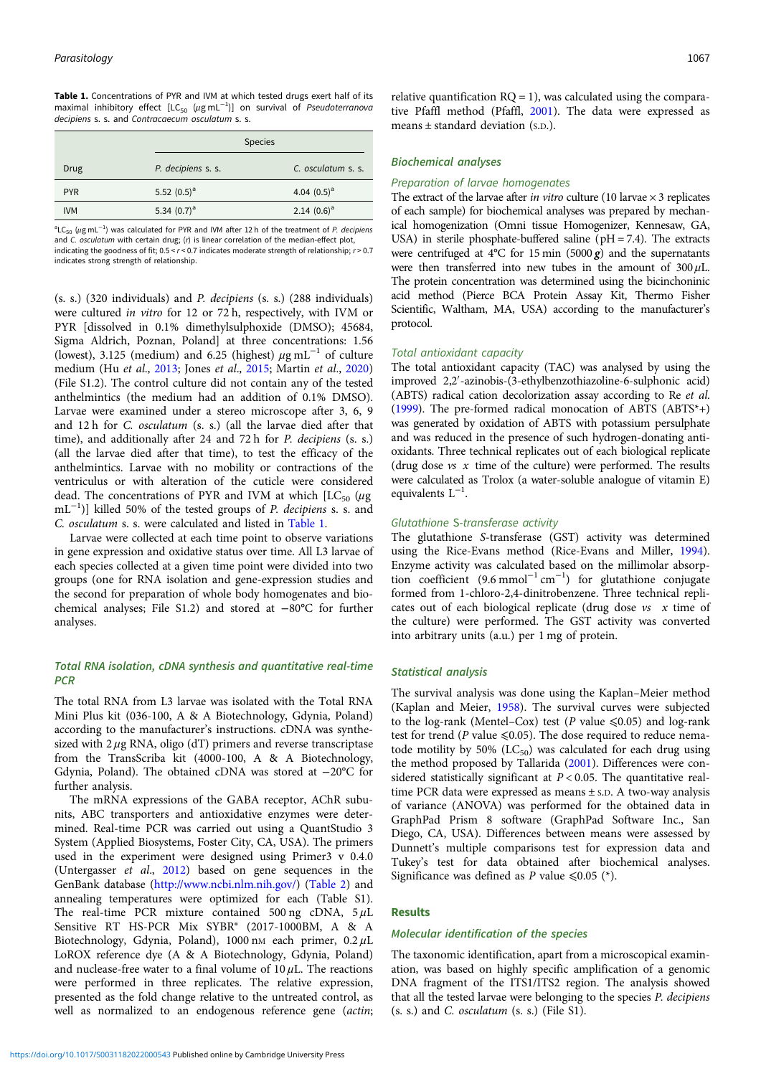<span id="page-2-0"></span>

|            | <b>Species</b>     |                    |
|------------|--------------------|--------------------|
| Drug       | P. decipiens s. s. | C. osculatum s. s. |
| <b>PYR</b> | 5.52 $(0.5)^a$     | 4.04 $(0.5)^a$     |
| <b>IVM</b> | 5.34 $(0.7)^a$     | 2.14 $(0.6)^a$     |

 ${}^{a}$ LC<sub>50</sub> (µg mL<sup>-1</sup>) was calculated for PYR and IVM after 12 h of the treatment of P. decipiens and C. osculatum with certain drug; (r) is linear correlation of the median-effect plot, indicating the goodness of fit;  $0.5 < r < 0.7$  indicates moderate strength of relationship;  $r > 0.7$ indicates strong strength of relationship.

(s. s.) (320 individuals) and P. decipiens (s. s.) (288 individuals) were cultured in vitro for 12 or 72 h, respectively, with IVM or PYR [dissolved in 0.1% dimethylsulphoxide (DMSO); 45684, Sigma Aldrich, Poznan, Poland] at three concentrations: 1.56 (lowest), 3.125 (medium) and 6.25 (highest)  $\mu$ g mL<sup>-1</sup> of culture medium (Hu et al., [2013](#page-11-0); Jones et al., [2015;](#page-11-0) Martin et al., [2020\)](#page-11-0) (File S1.2). The control culture did not contain any of the tested anthelmintics (the medium had an addition of 0.1% DMSO). Larvae were examined under a stereo microscope after 3, 6, 9 and 12 h for C. osculatum (s. s.) (all the larvae died after that time), and additionally after 24 and 72 h for P. decipiens (s. s.) (all the larvae died after that time), to test the efficacy of the anthelmintics. Larvae with no mobility or contractions of the ventriculus or with alteration of the cuticle were considered dead. The concentrations of PYR and IVM at which  $[LC_{50}$  ( $\mu$ g mL<sup>-1</sup>)] killed 50% of the tested groups of *P. decipiens* s. s. and C. osculatum s. s. were calculated and listed in Table 1.

Larvae were collected at each time point to observe variations in gene expression and oxidative status over time. All L3 larvae of each species collected at a given time point were divided into two groups (one for RNA isolation and gene-expression studies and the second for preparation of whole body homogenates and biochemical analyses; File S1.2) and stored at −80°C for further analyses.

# Total RNA isolation, cDNA synthesis and quantitative real-time **PCR**

The total RNA from L3 larvae was isolated with the Total RNA Mini Plus kit (036-100, A & A Biotechnology, Gdynia, Poland) according to the manufacturer's instructions. cDNA was synthesized with  $2 \mu$ g RNA, oligo (dT) primers and reverse transcriptase from the TransScriba kit (4000-100, A & A Biotechnology, Gdynia, Poland). The obtained cDNA was stored at −20°C for further analysis.

The mRNA expressions of the GABA receptor, AChR subunits, ABC transporters and antioxidative enzymes were determined. Real-time PCR was carried out using a QuantStudio 3 System (Applied Biosystems, Foster City, CA, USA). The primers used in the experiment were designed using Primer3 v 0.4.0 (Untergasser et al., [2012](#page-12-0)) based on gene sequences in the GenBank database ([http://www.ncbi.nlm.nih.gov/\)](http://www.ncbi.nlm.nih.gov/) ([Table 2\)](#page-3-0) and annealing temperatures were optimized for each (Table S1). The real-time PCR mixture contained 500 ng cDNA,  $5 \mu L$ Sensitive RT HS-PCR Mix SYBR® (2017-1000BM, A & A Biotechnology, Gdynia, Poland), 1000 nM each primer, 0.2μL LoROX reference dye (A & A Biotechnology, Gdynia, Poland) and nuclease-free water to a final volume of  $10 \mu$ L. The reactions were performed in three replicates. The relative expression, presented as the fold change relative to the untreated control, as well as normalized to an endogenous reference gene (actin;

relative quantification  $RO = 1$ ), was calculated using the comparative Pfaffl method (Pfaffl, [2001\)](#page-12-0). The data were expressed as means ± standard deviation (S.D.).

## Biochemical analyses

#### Preparation of larvae homogenates

The extract of the larvae after *in vitro* culture (10 larvae  $\times$  3 replicates of each sample) for biochemical analyses was prepared by mechanical homogenization (Omni tissue Homogenizer, Kennesaw, GA, USA) in sterile phosphate-buffered saline ( $pH = 7.4$ ). The extracts were centrifuged at  $4^{\circ}$ C for 15 min (5000 g) and the supernatants were then transferred into new tubes in the amount of  $300 \mu L$ . The protein concentration was determined using the bicinchoninic acid method (Pierce BCA Protein Assay Kit, Thermo Fisher Scientific, Waltham, MA, USA) according to the manufacturer's protocol.

#### Total antioxidant capacity

The total antioxidant capacity (TAC) was analysed by using the improved 2,2′ -azinobis-(3-ethylbenzothiazoline-6-sulphonic acid) (ABTS) radical cation decolorization assay according to Re et al. [\(1999](#page-12-0)). The pre-formed radical monocation of ABTS (ABTS\*+) was generated by oxidation of ABTS with potassium persulphate and was reduced in the presence of such hydrogen-donating antioxidants. Three technical replicates out of each biological replicate (drug dose  $vs \ x$  time of the culture) were performed. The results were calculated as Trolox (a water-soluble analogue of vitamin E) equivalents  $L^{-1}$ .

## Glutathione S-transferase activity

The glutathione S-transferase (GST) activity was determined using the Rice-Evans method (Rice-Evans and Miller, [1994](#page-12-0)). Enzyme activity was calculated based on the millimolar absorption coefficient  $(9.6 \text{ mmol}^{-1} \text{ cm}^{-1})$  for glutathione conjugate formed from 1-chloro-2,4-dinitrobenzene. Three technical replicates out of each biological replicate (drug dose  $vs$  x time of the culture) were performed. The GST activity was converted into arbitrary units (a.u.) per 1 mg of protein.

#### Statistical analysis

The survival analysis was done using the Kaplan–Meier method (Kaplan and Meier, [1958\)](#page-11-0). The survival curves were subjected to the log-rank (Mentel–Cox) test (P value  $\leq 0.05$ ) and log-rank test for trend (P value  $\leq 0.05$ ). The dose required to reduce nematode motility by 50% ( $LC_{50}$ ) was calculated for each drug using the method proposed by Tallarida ([2001](#page-12-0)). Differences were considered statistically significant at  $P < 0.05$ . The quantitative realtime PCR data were expressed as means ± S.D. A two-way analysis of variance (ANOVA) was performed for the obtained data in GraphPad Prism 8 software (GraphPad Software Inc., San Diego, CA, USA). Differences between means were assessed by Dunnett's multiple comparisons test for expression data and Tukey's test for data obtained after biochemical analyses. Significance was defined as P value  $\leq 0.05$  (\*).

## Results

#### Molecular identification of the species

The taxonomic identification, apart from a microscopical examination, was based on highly specific amplification of a genomic DNA fragment of the ITS1/ITS2 region. The analysis showed that all the tested larvae were belonging to the species P. decipiens (s. s.) and C. osculatum (s. s.) (File S1).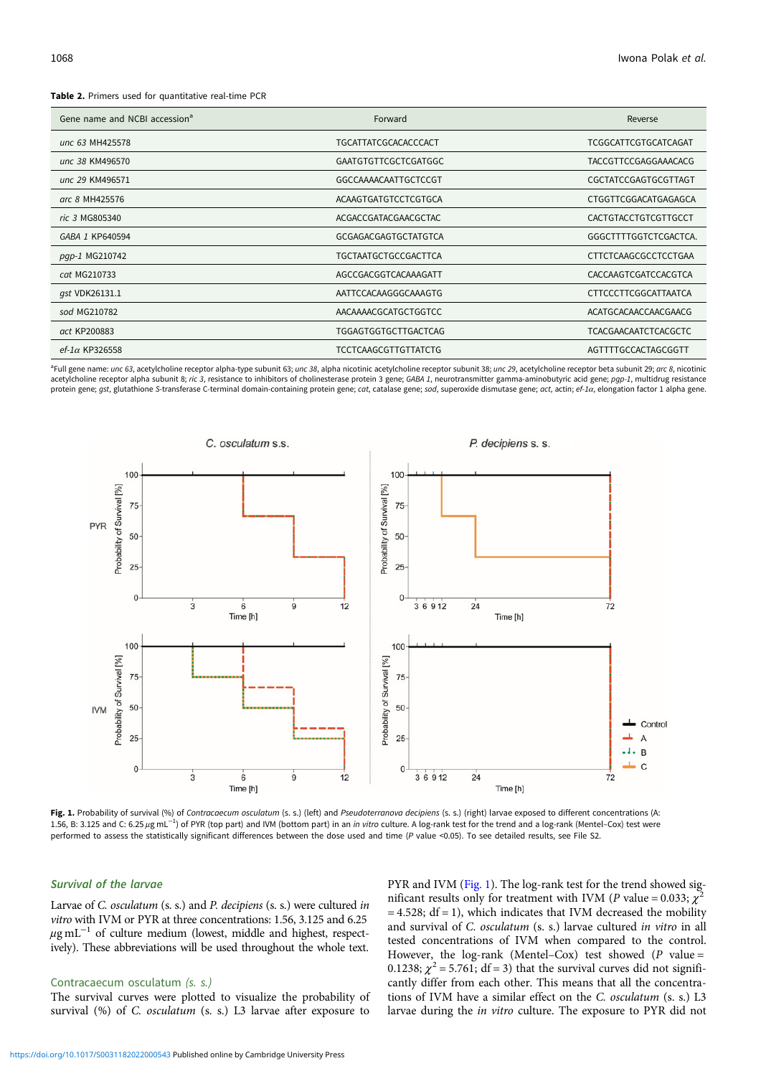#### <span id="page-3-0"></span>Table 2. Primers used for quantitative real-time PCR

| Gene name and NCBI accession <sup>a</sup> | Forward                     | Reverse                     |
|-------------------------------------------|-----------------------------|-----------------------------|
| unc 63 MH425578                           | <b>TGCATTATCGCACACCCACT</b> | TCGGCATTCGTGCATCAGAT        |
| unc 38 KM496570                           | <b>GAATGTGTTCGCTCGATGGC</b> | <b>TACCGTTCCGAGGAAACACG</b> |
| unc 29 KM496571                           | GGCCAAAACAATTGCTCCGT        | CGCTATCCGAGTGCGTTAGT        |
| arc 8 MH425576                            | ACAAGTGATGTCCTCGTGCA        | CTGGTTCGGACATGAGAGCA        |
| ric 3 MG805340                            | ACGACCGATACGAACGCTAC        | CACTGTACCTGTCGTTGCCT        |
| GABA 1 KP640594                           | GCGAGACGAGTGCTATGTCA        | GGGCTTTTGGTCTCGACTCA.       |
| pqp-1 MG210742                            | <b>TGCTAATGCTGCCGACTTCA</b> | <b>CTTCTCAAGCGCCTCCTGAA</b> |
| cat MG210733                              | AGCCGACGGTCACAAAGATT        | CACCAAGTCGATCCACGTCA        |
| gst VDK26131.1                            | AATTCCACAAGGGCAAAGTG        | <b>CTTCCCTTCGGCATTAATCA</b> |
| sod MG210782                              | AACAAAACGCATGCTGGTCC        | ACATGCACAACCAACGAACG        |
| act KP200883                              | <b>TGGAGTGGTGCTTGACTCAG</b> | <b>TCACGAACAATCTCACGCTC</b> |
| $ef$ -1 $\alpha$ KP326558                 | <b>TCCTCAAGCGTTGTTATCTG</b> | AGTTTTGCCACTAGCGGTT         |

<sup>a</sup>Full gene name: *unc 63*, acetylcholine receptor alpha-type subunit 63; *unc 38*, alpha nicotinic acetylcholine receptor subunit 38; *unc 29*, acetylcholine receptor beta subunit 29; *arc 8*, nicotinic acetylcholine receptor alpha subunit 8; ric 3, resistance to inhibitors of cholinesterase protein 3 gene; GABA 1, neurotransmitter gamma-aminobutyric acid gene; pgp-1, multidrug resistance protein gene; gst, glutathione S-transferase C-terminal domain-containing protein gene; cat, catalase gene; sod, superoxide dismutase gene; act, actin; ef-1a, elongation factor 1 alpha gene.



Fig. 1. Probability of survival (%) of Contracaecum osculatum (s. s.) (left) and Pseudoterranova decipiens (s. s.) (right) larvae exposed to different concentrations (A: 1.56, B: 3.125 and C: 6.25 μg mL<sup>-1</sup>) of PYR (top part) and IVM (bottom part) in an *in vitro* culture. A log-rank test for the trend and a log-rank (Mentel–Cox) test were performed to assess the statistically significant differences between the dose used and time (P value <0.05). To see detailed results, see File S2.

## Survival of the larvae

Larvae of C. osculatum (s. s.) and P. decipiens (s. s.) were cultured in vitro with IVM or PYR at three concentrations: 1.56, 3.125 and 6.25  $\mu$ g mL<sup>-1</sup> of culture medium (lowest, middle and highest, respectively). These abbreviations will be used throughout the whole text.

## Contracaecum osculatum (s. s.)

The survival curves were plotted to visualize the probability of survival (%) of C. osculatum (s. s.) L3 larvae after exposure to

PYR and IVM (Fig. 1). The log-rank test for the trend showed significant results only for treatment with IVM (P value = 0.033;  $\chi^2$  $= 4.528$ ; df  $= 1$ ), which indicates that IVM decreased the mobility and survival of C. osculatum (s. s.) larvae cultured in vitro in all tested concentrations of IVM when compared to the control. However, the log-rank (Mentel–Cox) test showed ( $P$  value = 0.1238;  $\chi^2$  = 5.761; df = 3) that the survival curves did not significantly differ from each other. This means that all the concentrations of IVM have a similar effect on the C. osculatum (s. s.) L3 larvae during the in vitro culture. The exposure to PYR did not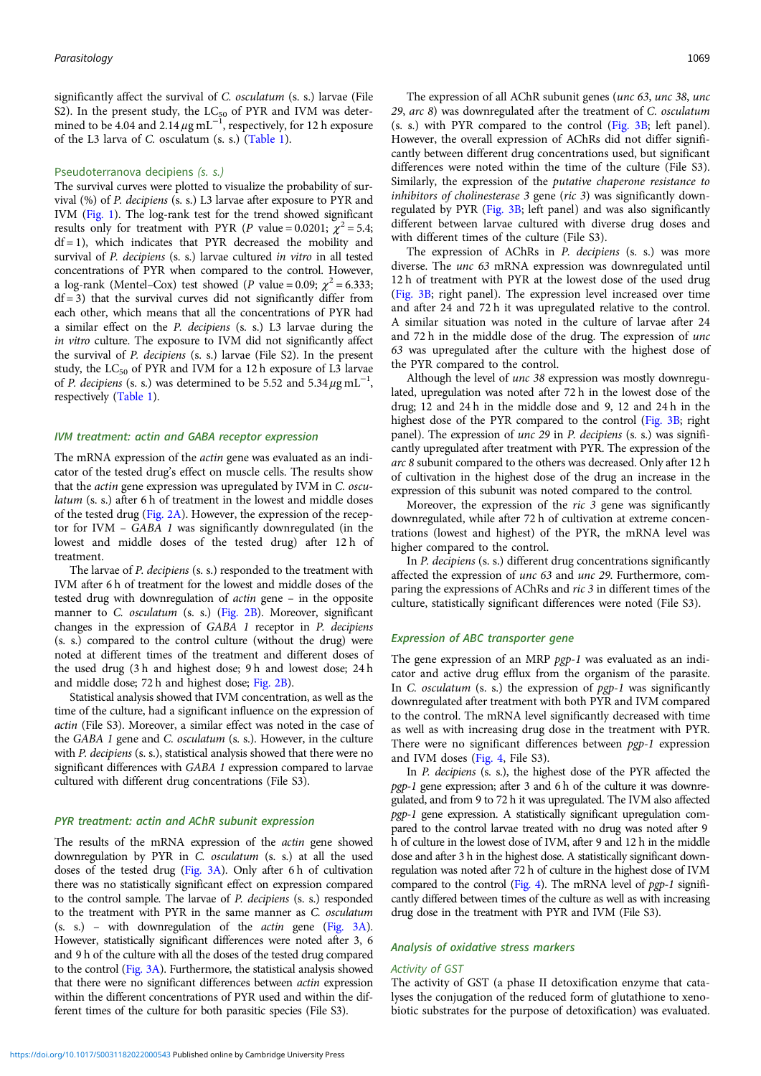significantly affect the survival of C. osculatum (s. s.) larvae (File S2). In the present study, the  $LC_{50}$  of PYR and IVM was determined to be 4.04 and 2.14  $\mu$ g mL<sup>-1</sup>, respectively, for 12 h exposure of the L3 larva of C. osculatum (s. s.) [\(Table 1\)](#page-2-0).

#### Pseudoterranova decipiens (s. s.)

The survival curves were plotted to visualize the probability of survival (%) of P. decipiens (s. s.) L3 larvae after exposure to PYR and IVM ([Fig. 1](#page-3-0)). The log-rank test for the trend showed significant results only for treatment with PYR (P value = 0.0201;  $\chi^2$  = 5.4;  $df = 1$ ), which indicates that PYR decreased the mobility and survival of *P. decipiens* (s. s.) larvae cultured *in vitro* in all tested concentrations of PYR when compared to the control. However, a log-rank (Mentel–Cox) test showed (P value = 0.09;  $\chi^2$  = 6.333;  $df = 3$ ) that the survival curves did not significantly differ from each other, which means that all the concentrations of PYR had a similar effect on the P. decipiens (s. s.) L3 larvae during the in vitro culture. The exposure to IVM did not significantly affect the survival of P. decipiens (s. s.) larvae (File S2). In the present study, the  $LC_{50}$  of PYR and IVM for a 12 h exposure of L3 larvae of P. decipiens (s. s.) was determined to be 5.52 and 5.34  $\mu$ g mL<sup>-1</sup>, respectively ([Table 1\)](#page-2-0).

#### IVM treatment: actin and GABA receptor expression

The mRNA expression of the actin gene was evaluated as an indicator of the tested drug's effect on muscle cells. The results show that the actin gene expression was upregulated by IVM in C. osculatum (s. s.) after 6 h of treatment in the lowest and middle doses of the tested drug ([Fig. 2A\)](#page-5-0). However, the expression of the receptor for IVM – GABA 1 was significantly downregulated (in the lowest and middle doses of the tested drug) after 12 h of treatment.

The larvae of P. decipiens (s. s.) responded to the treatment with IVM after 6 h of treatment for the lowest and middle doses of the tested drug with downregulation of actin gene – in the opposite manner to C. osculatum (s. s.) [\(Fig. 2B](#page-5-0)). Moreover, significant changes in the expression of GABA 1 receptor in P. decipiens (s. s.) compared to the control culture (without the drug) were noted at different times of the treatment and different doses of the used drug (3 h and highest dose; 9 h and lowest dose; 24 h and middle dose; 72 h and highest dose; [Fig. 2B\)](#page-5-0).

Statistical analysis showed that IVM concentration, as well as the time of the culture, had a significant influence on the expression of actin (File S3). Moreover, a similar effect was noted in the case of the GABA 1 gene and C. osculatum (s. s.). However, in the culture with *P. decipiens* (s. s.), statistical analysis showed that there were no significant differences with GABA 1 expression compared to larvae cultured with different drug concentrations (File S3).

## PYR treatment: actin and AChR subunit expression

The results of the mRNA expression of the actin gene showed downregulation by PYR in C. osculatum (s. s.) at all the used doses of the tested drug ([Fig. 3A](#page-6-0)). Only after 6 h of cultivation there was no statistically significant effect on expression compared to the control sample. The larvae of P. decipiens (s. s.) responded to the treatment with PYR in the same manner as C. osculatum (s. s.) – with downregulation of the actin gene ([Fig. 3A\)](#page-6-0). However, statistically significant differences were noted after 3, 6 and 9 h of the culture with all the doses of the tested drug compared to the control [\(Fig. 3A](#page-6-0)). Furthermore, the statistical analysis showed that there were no significant differences between actin expression within the different concentrations of PYR used and within the different times of the culture for both parasitic species (File S3).

The expression of all AChR subunit genes (unc 63, unc 38, unc 29, arc 8) was downregulated after the treatment of C. osculatum (s. s.) with PYR compared to the control ([Fig. 3B;](#page-6-0) left panel). However, the overall expression of AChRs did not differ significantly between different drug concentrations used, but significant differences were noted within the time of the culture (File S3). Similarly, the expression of the putative chaperone resistance to inhibitors of cholinesterase 3 gene (ric 3) was significantly downregulated by PYR ([Fig. 3B;](#page-6-0) left panel) and was also significantly different between larvae cultured with diverse drug doses and with different times of the culture (File S3).

The expression of AChRs in P. decipiens (s. s.) was more diverse. The unc 63 mRNA expression was downregulated until 12 h of treatment with PYR at the lowest dose of the used drug [\(Fig. 3B](#page-6-0); right panel). The expression level increased over time and after 24 and 72 h it was upregulated relative to the control. A similar situation was noted in the culture of larvae after 24 and 72 h in the middle dose of the drug. The expression of unc 63 was upregulated after the culture with the highest dose of the PYR compared to the control.

Although the level of *unc* 38 expression was mostly downregulated, upregulation was noted after 72 h in the lowest dose of the drug; 12 and 24 h in the middle dose and 9, 12 and 24 h in the highest dose of the PYR compared to the control ([Fig. 3B;](#page-6-0) right panel). The expression of *unc 29* in *P. decipiens* (s. s.) was significantly upregulated after treatment with PYR. The expression of the arc 8 subunit compared to the others was decreased. Only after 12 h of cultivation in the highest dose of the drug an increase in the expression of this subunit was noted compared to the control.

Moreover, the expression of the ric 3 gene was significantly downregulated, while after 72 h of cultivation at extreme concentrations (lowest and highest) of the PYR, the mRNA level was higher compared to the control.

In *P. decipiens* (s. s.) different drug concentrations significantly affected the expression of unc 63 and unc 29. Furthermore, comparing the expressions of AChRs and ric 3 in different times of the culture, statistically significant differences were noted (File S3).

## Expression of ABC transporter gene

The gene expression of an MRP pgp-1 was evaluated as an indicator and active drug efflux from the organism of the parasite. In C. osculatum (s. s.) the expression of pgp-1 was significantly downregulated after treatment with both PYR and IVM compared to the control. The mRNA level significantly decreased with time as well as with increasing drug dose in the treatment with PYR. There were no significant differences between pgp-1 expression and IVM doses [\(Fig. 4,](#page-7-0) File S3).

In P. decipiens (s. s.), the highest dose of the PYR affected the pgp-1 gene expression; after 3 and 6 h of the culture it was downregulated, and from 9 to 72 h it was upregulated. The IVM also affected pgp-1 gene expression. A statistically significant upregulation compared to the control larvae treated with no drug was noted after 9 h of culture in the lowest dose of IVM, after 9 and 12 h in the middle dose and after 3 h in the highest dose. A statistically significant downregulation was noted after 72 h of culture in the highest dose of IVM compared to the control [\(Fig. 4\)](#page-7-0). The mRNA level of pgp-1 significantly differed between times of the culture as well as with increasing drug dose in the treatment with PYR and IVM (File S3).

## Analysis of oxidative stress markers

#### Activity of GST

The activity of GST (a phase II detoxification enzyme that catalyses the conjugation of the reduced form of glutathione to xenobiotic substrates for the purpose of detoxification) was evaluated.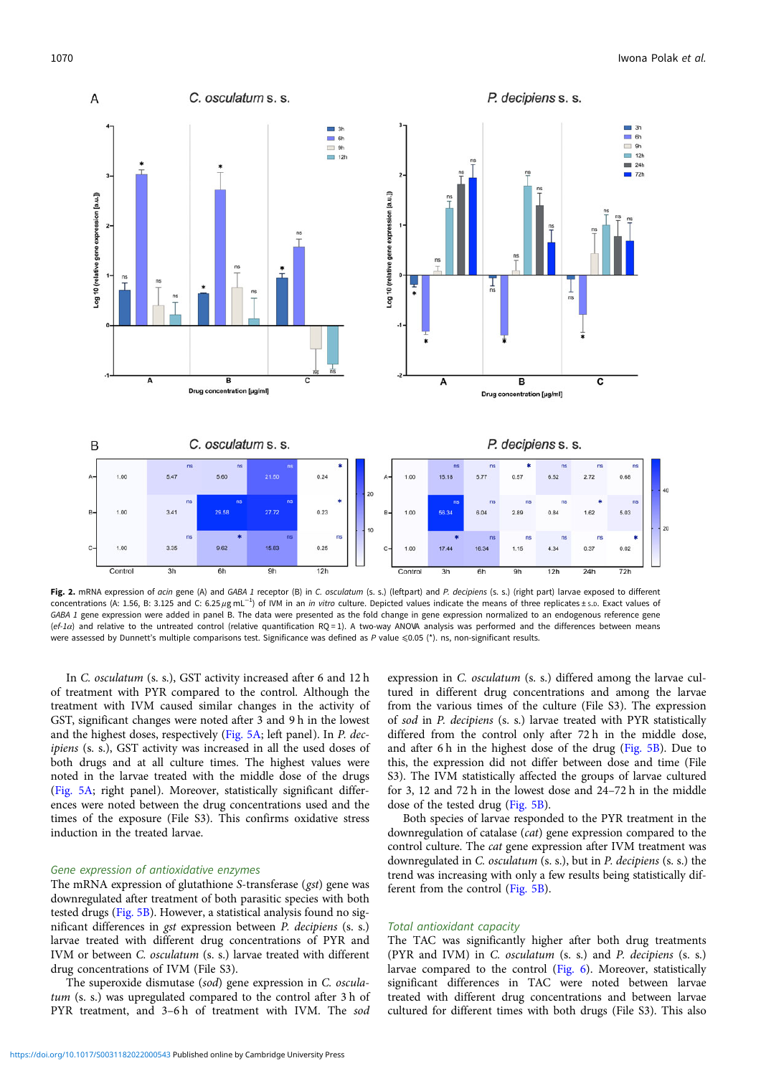<span id="page-5-0"></span>

Fig. 2. mRNA expression of acin gene (A) and GABA 1 receptor (B) in C. osculatum (s. s.) (leftpart) and P. decipiens (s. s.) (right part) larvae exposed to different concentrations (A: 1.56, B: 3.125 and C: 6.25 µg mL<sup>-1</sup>) of IVM in an in vitro culture. Depicted values indicate the means of three replicates ± s.p. Exact values of GABA 1 gene expression were added in panel B. The data were presented as the fold change in gene expression normalized to an endogenous reference gene  $(ef-1\alpha)$  and relative to the untreated control (relative quantification RQ = 1). A two-way ANOVA analysis was performed and the differences between means were assessed by Dunnett's multiple comparisons test. Significance was defined as P value ≤0.05 (\*). ns, non-significant results.

In C. osculatum (s. s.), GST activity increased after 6 and 12 h of treatment with PYR compared to the control. Although the treatment with IVM caused similar changes in the activity of GST, significant changes were noted after 3 and 9 h in the lowest and the highest doses, respectively [\(Fig. 5A](#page-8-0); left panel). In P. decipiens (s. s.), GST activity was increased in all the used doses of both drugs and at all culture times. The highest values were noted in the larvae treated with the middle dose of the drugs ([Fig. 5A](#page-8-0); right panel). Moreover, statistically significant differences were noted between the drug concentrations used and the times of the exposure (File S3). This confirms oxidative stress induction in the treated larvae.

#### Gene expression of antioxidative enzymes

The mRNA expression of glutathione S-transferase (gst) gene was downregulated after treatment of both parasitic species with both tested drugs ([Fig. 5B](#page-8-0)). However, a statistical analysis found no significant differences in gst expression between P. decipiens (s. s.) larvae treated with different drug concentrations of PYR and IVM or between C. osculatum (s. s.) larvae treated with different drug concentrations of IVM (File S3).

The superoxide dismutase (sod) gene expression in C. osculatum (s. s.) was upregulated compared to the control after 3 h of PYR treatment, and 3-6h of treatment with IVM. The sod

expression in C. osculatum (s. s.) differed among the larvae cultured in different drug concentrations and among the larvae from the various times of the culture (File S3). The expression of sod in P. decipiens (s. s.) larvae treated with PYR statistically differed from the control only after 72 h in the middle dose, and after 6 h in the highest dose of the drug [\(Fig. 5B](#page-8-0)). Due to this, the expression did not differ between dose and time (File S3). The IVM statistically affected the groups of larvae cultured for 3, 12 and 72 h in the lowest dose and 24–72 h in the middle dose of the tested drug ([Fig. 5B\)](#page-8-0).

Both species of larvae responded to the PYR treatment in the downregulation of catalase (cat) gene expression compared to the control culture. The cat gene expression after IVM treatment was downregulated in C. osculatum (s. s.), but in P. decipiens (s. s.) the trend was increasing with only a few results being statistically different from the control ([Fig. 5B\)](#page-8-0).

#### Total antioxidant capacity

The TAC was significantly higher after both drug treatments (PYR and IVM) in C. osculatum (s. s.) and P. decipiens (s. s.) larvae compared to the control ([Fig. 6\)](#page-9-0). Moreover, statistically significant differences in TAC were noted between larvae treated with different drug concentrations and between larvae cultured for different times with both drugs (File S3). This also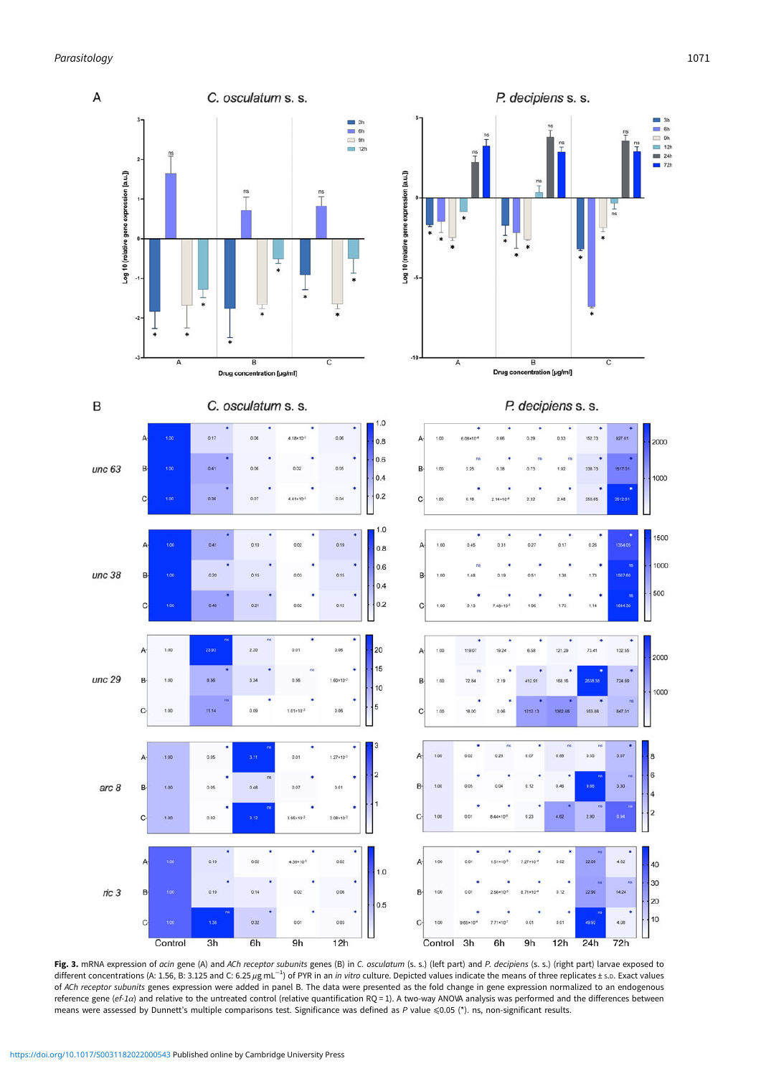<span id="page-6-0"></span>

**Fig. 3.** mRNA expression of *acin* gene (A) and *ACh receptor subunit*s genes (B) in *C. osculatum* (s. s.) (left part) and *P. decipiens* (s. s.) (right part) larvae exposed to<br>different concentrations (A: 1.56, B: 3.125 of ACh receptor subunits genes expression were added in panel B. The data were presented as the fold change in gene expression normalized to an endogenous reference gene (ef-1α) and relative to the untreated control (relative quantification RQ = 1). A two-way ANOVA analysis was performed and the differences between means were assessed by Dunnett's multiple comparisons test. Significance was defined as P value  $\leq 0.05$  (\*). ns, non-significant results.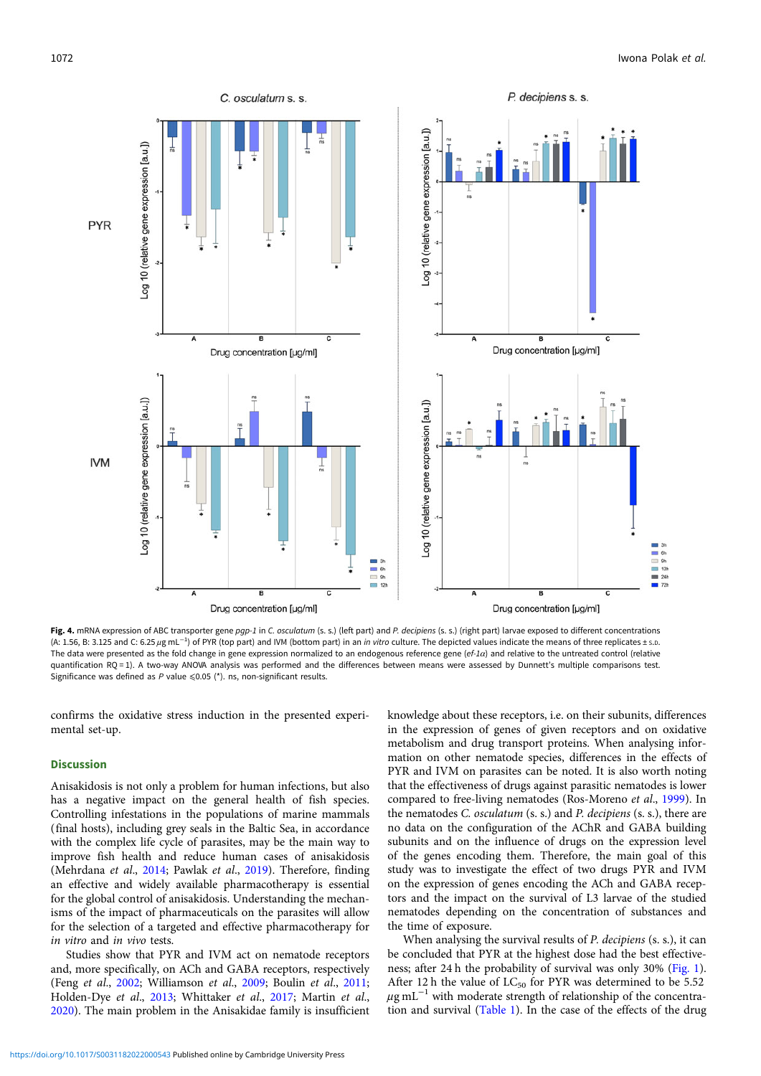<span id="page-7-0"></span>

Fig. 4. mRNA expression of ABC transporter gene pgp-1 in C. osculatum (s. s.) (left part) and P. decipiens (s. s.) (right part) larvae exposed to different concentrations (A: 1.56, B: 3.125 and C: 6.25 µg mL<sup>-1</sup>) of PYR (top part) and IVM (bottom part) in an in vitro culture. The depicted values indicate the means of three replicates ± s.D. The data were presented as the fold change in gene expression normalized to an endogenous reference gene (ef-1 $\alpha$ ) and relative to the untreated control (relative quantification RQ = 1). A two-way ANOVA analysis was performed and the differences between means were assessed by Dunnett's multiple comparisons test. Significance was defined as  $P$  value  $\leq 0.05$  (\*). ns, non-significant results.

confirms the oxidative stress induction in the presented experimental set-up.

#### **Discussion**

Anisakidosis is not only a problem for human infections, but also has a negative impact on the general health of fish species. Controlling infestations in the populations of marine mammals (final hosts), including grey seals in the Baltic Sea, in accordance with the complex life cycle of parasites, may be the main way to improve fish health and reduce human cases of anisakidosis (Mehrdana et al., [2014;](#page-12-0) Pawlak et al., [2019\)](#page-12-0). Therefore, finding an effective and widely available pharmacotherapy is essential for the global control of anisakidosis. Understanding the mechanisms of the impact of pharmaceuticals on the parasites will allow for the selection of a targeted and effective pharmacotherapy for in vitro and in vivo tests.

Studies show that PYR and IVM act on nematode receptors and, more specifically, on ACh and GABA receptors, respectively (Feng et al., [2002](#page-11-0); Williamson et al., [2009;](#page-12-0) Boulin et al., [2011](#page-11-0); Holden-Dye et al., [2013;](#page-11-0) Whittaker et al., [2017;](#page-12-0) Martin et al., [2020\)](#page-11-0). The main problem in the Anisakidae family is insufficient knowledge about these receptors, i.e. on their subunits, differences in the expression of genes of given receptors and on oxidative metabolism and drug transport proteins. When analysing information on other nematode species, differences in the effects of PYR and IVM on parasites can be noted. It is also worth noting that the effectiveness of drugs against parasitic nematodes is lower compared to free-living nematodes (Ros-Moreno et al., [1999](#page-12-0)). In the nematodes C. osculatum (s. s.) and P. decipiens (s. s.), there are no data on the configuration of the AChR and GABA building subunits and on the influence of drugs on the expression level of the genes encoding them. Therefore, the main goal of this study was to investigate the effect of two drugs PYR and IVM on the expression of genes encoding the ACh and GABA receptors and the impact on the survival of L3 larvae of the studied nematodes depending on the concentration of substances and the time of exposure.

When analysing the survival results of P. decipiens (s. s.), it can be concluded that PYR at the highest dose had the best effectiveness; after 24 h the probability of survival was only 30% ([Fig. 1](#page-3-0)). After 12 h the value of  $LC_{50}$  for PYR was determined to be 5.52  $\mu$ g mL<sup>-1</sup> with moderate strength of relationship of the concentration and survival ([Table 1\)](#page-2-0). In the case of the effects of the drug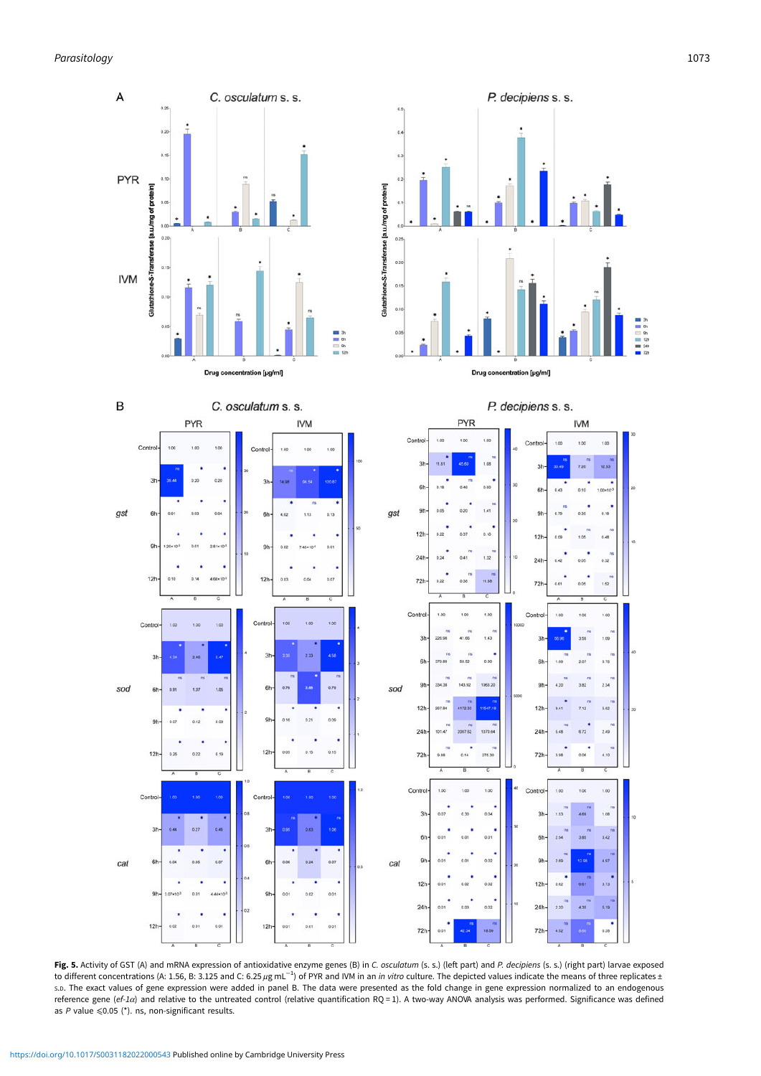<span id="page-8-0"></span>

Fig. 5. Activity of GST (A) and mRNA expression of antioxidative enzyme genes (B) in C. osculatum (s. s.) (left part) and P. decipiens (s. s.) (right part) larvae exposed to different concentrations (A: 1.56, B: 3.125 and C: 6.25 µg mL<sup>-1</sup>) of PYR and IVM in an in vitro culture. The depicted values indicate the means of three replicates ± S.D. The exact values of gene expression were added in panel B. The data were presented as the fold change in gene expression normalized to an endogenous reference gene (ef-1α) and relative to the untreated control (relative quantification RQ = 1). A two-way ANOVA analysis was performed. Significance was defined as  $P$  value  $\leq 0.05$  (\*). ns, non-significant results.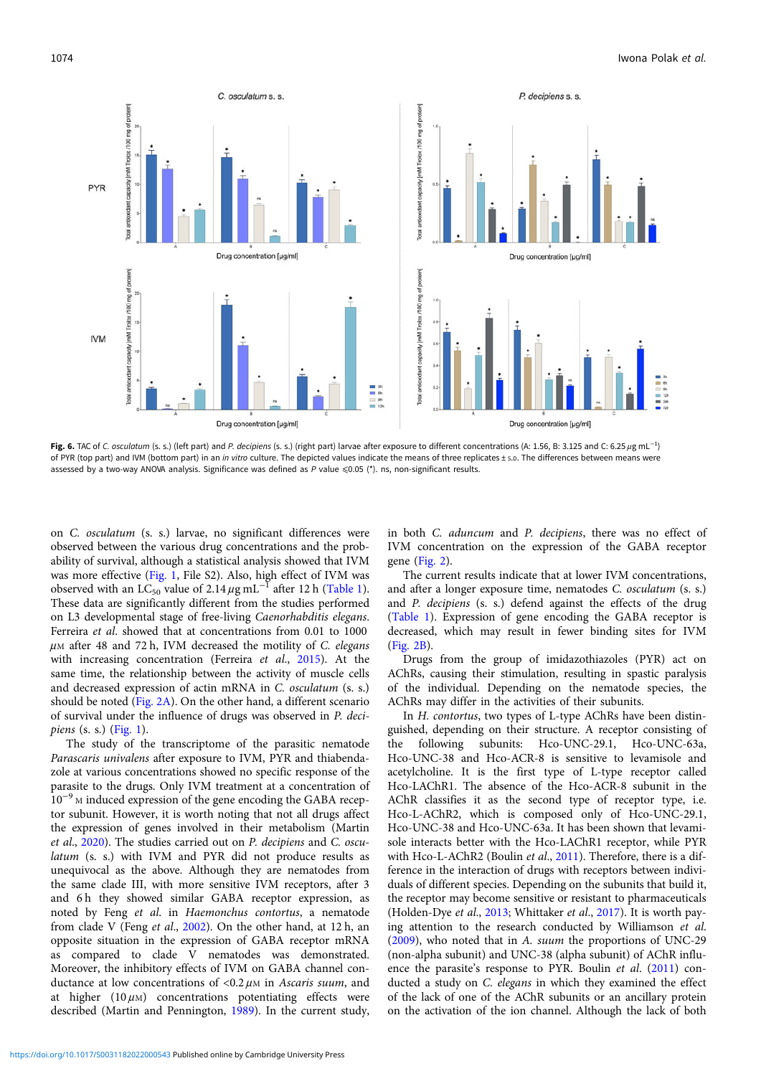<span id="page-9-0"></span>

Fig. 6. TAC of C. osculatum (s. s.) (left part) and P. decipiens (s. s.) (right part) larvae after exposure to different concentrations (A: 1.56, B: 3.125 and C: 6.25 µg mL<sup>-1</sup>) of PYR (top part) and IVM (bottom part) in an in vitro culture. The depicted values indicate the means of three replicates ± s.p. The differences between means were assessed by a two-way ANOVA analysis. Significance was defined as P value ≤0.05 (\*). ns, non-significant results.

on C. osculatum (s. s.) larvae, no significant differences were observed between the various drug concentrations and the probability of survival, although a statistical analysis showed that IVM was more effective ([Fig. 1](#page-3-0), File S2). Also, high effect of IVM was observed with an LC<sub>50</sub> value of 2.14  $\mu$ g mL<sup>-1</sup> after 12 h ([Table 1\)](#page-2-0). These data are significantly different from the studies performed on L3 developmental stage of free-living Caenorhabditis elegans. Ferreira et al. showed that at concentrations from 0.01 to 1000  $\mu$ M after 48 and 72 h, IVM decreased the motility of C. elegans with increasing concentration (Ferreira et al., [2015\)](#page-11-0). At the same time, the relationship between the activity of muscle cells and decreased expression of actin mRNA in C. osculatum (s. s.) should be noted [\(Fig. 2A\)](#page-5-0). On the other hand, a different scenario of survival under the influence of drugs was observed in P. decipiens  $(s, s)$  [\(Fig. 1\)](#page-3-0).

The study of the transcriptome of the parasitic nematode Parascaris univalens after exposure to IVM, PYR and thiabendazole at various concentrations showed no specific response of the parasite to the drugs. Only IVM treatment at a concentration of 10−<sup>9</sup> <sup>M</sup> induced expression of the gene encoding the GABA receptor subunit. However, it is worth noting that not all drugs affect the expression of genes involved in their metabolism (Martin et al., [2020\)](#page-11-0). The studies carried out on P. decipiens and C. osculatum (s. s.) with IVM and PYR did not produce results as unequivocal as the above. Although they are nematodes from the same clade III, with more sensitive IVM receptors, after 3 and 6h they showed similar GABA receptor expression, as noted by Feng et al. in Haemonchus contortus, a nematode from clade V (Feng et al., [2002](#page-11-0)). On the other hand, at 12 h, an opposite situation in the expression of GABA receptor mRNA as compared to clade V nematodes was demonstrated. Moreover, the inhibitory effects of IVM on GABA channel conductance at low concentrations of  $<$ 0.2  $\mu$ M in Ascaris suum, and at higher  $(10 \,\mu)$  concentrations potentiating effects were described (Martin and Pennington, [1989\)](#page-11-0). In the current study,

in both C. aduncum and P. decipiens, there was no effect of IVM concentration on the expression of the GABA receptor gene [\(Fig. 2\)](#page-5-0).

The current results indicate that at lower IVM concentrations, and after a longer exposure time, nematodes C. osculatum (s. s.) and P. decipiens (s. s.) defend against the effects of the drug ([Table 1](#page-2-0)). Expression of gene encoding the GABA receptor is decreased, which may result in fewer binding sites for IVM ([Fig. 2B\)](#page-5-0).

Drugs from the group of imidazothiazoles (PYR) act on AChRs, causing their stimulation, resulting in spastic paralysis of the individual. Depending on the nematode species, the AChRs may differ in the activities of their subunits.

In H. contortus, two types of L-type AChRs have been distinguished, depending on their structure. A receptor consisting of the following subunits: Hco-UNC-29.1, Hco-UNC-63a, Hco-UNC-38 and Hco-ACR-8 is sensitive to levamisole and acetylcholine. It is the first type of L-type receptor called Hco-LAChR1. The absence of the Hco-ACR-8 subunit in the AChR classifies it as the second type of receptor type, i.e. Hco-L-AChR2, which is composed only of Hco-UNC-29.1, Hco-UNC-38 and Hco-UNC-63a. It has been shown that levamisole interacts better with the Hco-LAChR1 receptor, while PYR with Hco-L-AChR2 (Boulin et al., [2011\)](#page-11-0). Therefore, there is a difference in the interaction of drugs with receptors between individuals of different species. Depending on the subunits that build it, the receptor may become sensitive or resistant to pharmaceuticals (Holden-Dye et al., [2013;](#page-11-0) Whittaker et al., [2017](#page-12-0)). It is worth paying attention to the research conducted by Williamson et al. ([2009\)](#page-12-0), who noted that in A. suum the proportions of UNC-29 (non-alpha subunit) and UNC-38 (alpha subunit) of AChR influ-ence the parasite's response to PYR. Boulin et al. ([2011\)](#page-11-0) conducted a study on C. elegans in which they examined the effect of the lack of one of the AChR subunits or an ancillary protein on the activation of the ion channel. Although the lack of both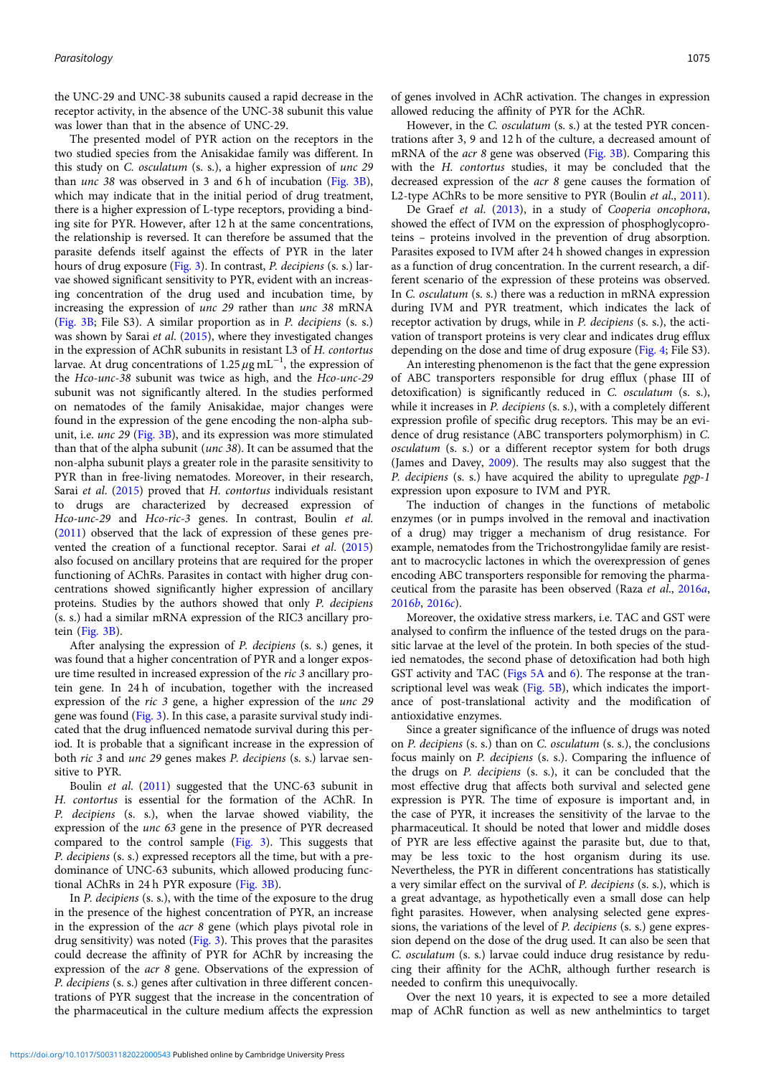the UNC-29 and UNC-38 subunits caused a rapid decrease in the receptor activity, in the absence of the UNC-38 subunit this value was lower than that in the absence of UNC-29.

The presented model of PYR action on the receptors in the two studied species from the Anisakidae family was different. In this study on C. osculatum (s. s.), a higher expression of unc 29 than *unc* 38 was observed in 3 and 6 h of incubation [\(Fig. 3B\)](#page-6-0), which may indicate that in the initial period of drug treatment, there is a higher expression of L-type receptors, providing a binding site for PYR. However, after 12 h at the same concentrations, the relationship is reversed. It can therefore be assumed that the parasite defends itself against the effects of PYR in the later hours of drug exposure [\(Fig. 3\)](#page-6-0). In contrast, P. decipiens (s. s.) larvae showed significant sensitivity to PYR, evident with an increasing concentration of the drug used and incubation time, by increasing the expression of unc 29 rather than unc 38 mRNA ([Fig. 3B](#page-6-0); File S3). A similar proportion as in P. decipiens (s. s.) was shown by Sarai et al. [\(2015](#page-12-0)), where they investigated changes in the expression of AChR subunits in resistant L3 of H. contortus larvae. At drug concentrations of 1.25  $\mu$ g mL<sup>-1</sup>, the expression of the Hco-unc-38 subunit was twice as high, and the Hco-unc-29 subunit was not significantly altered. In the studies performed on nematodes of the family Anisakidae, major changes were found in the expression of the gene encoding the non-alpha subunit, i.e. unc 29 ([Fig. 3B](#page-6-0)), and its expression was more stimulated than that of the alpha subunit (unc 38). It can be assumed that the non-alpha subunit plays a greater role in the parasite sensitivity to PYR than in free-living nematodes. Moreover, in their research, Sarai et al. ([2015\)](#page-12-0) proved that H. contortus individuals resistant to drugs are characterized by decreased expression of Hco-unc-29 and Hco-ric-3 genes. In contrast, Boulin et al. ([2011](#page-11-0)) observed that the lack of expression of these genes prevented the creation of a functional receptor. Sarai et al. [\(2015\)](#page-12-0) also focused on ancillary proteins that are required for the proper functioning of AChRs. Parasites in contact with higher drug concentrations showed significantly higher expression of ancillary proteins. Studies by the authors showed that only P. decipiens (s. s.) had a similar mRNA expression of the RIC3 ancillary protein [\(Fig. 3B\)](#page-6-0).

After analysing the expression of P. decipiens (s. s.) genes, it was found that a higher concentration of PYR and a longer exposure time resulted in increased expression of the ric 3 ancillary protein gene. In 24 h of incubation, together with the increased expression of the ric 3 gene, a higher expression of the unc 29 gene was found [\(Fig. 3\)](#page-6-0). In this case, a parasite survival study indicated that the drug influenced nematode survival during this period. It is probable that a significant increase in the expression of both ric 3 and unc 29 genes makes P. decipiens (s. s.) larvae sensitive to PYR.

Boulin et al. ([2011](#page-11-0)) suggested that the UNC-63 subunit in H. contortus is essential for the formation of the AChR. In P. decipiens (s. s.), when the larvae showed viability, the expression of the unc 63 gene in the presence of PYR decreased compared to the control sample [\(Fig. 3](#page-6-0)). This suggests that P. decipiens (s. s.) expressed receptors all the time, but with a predominance of UNC-63 subunits, which allowed producing functional AChRs in 24 h PYR exposure ([Fig. 3B\)](#page-6-0).

In P. decipiens (s. s.), with the time of the exposure to the drug in the presence of the highest concentration of PYR, an increase in the expression of the acr 8 gene (which plays pivotal role in drug sensitivity) was noted [\(Fig. 3](#page-6-0)). This proves that the parasites could decrease the affinity of PYR for AChR by increasing the expression of the acr 8 gene. Observations of the expression of P. decipiens (s. s.) genes after cultivation in three different concentrations of PYR suggest that the increase in the concentration of the pharmaceutical in the culture medium affects the expression

of genes involved in AChR activation. The changes in expression allowed reducing the affinity of PYR for the AChR.

However, in the C. osculatum (s. s.) at the tested PYR concentrations after 3, 9 and 12 h of the culture, a decreased amount of mRNA of the acr 8 gene was observed [\(Fig. 3B](#page-6-0)). Comparing this with the H. contortus studies, it may be concluded that the decreased expression of the acr 8 gene causes the formation of L2-type AChRs to be more sensitive to PYR (Boulin et al., [2011](#page-11-0)).

De Graef et al. [\(2013](#page-11-0)), in a study of Cooperia oncophora, showed the effect of IVM on the expression of phosphoglycoproteins – proteins involved in the prevention of drug absorption. Parasites exposed to IVM after 24 h showed changes in expression as a function of drug concentration. In the current research, a different scenario of the expression of these proteins was observed. In C. osculatum (s. s.) there was a reduction in mRNA expression during IVM and PYR treatment, which indicates the lack of receptor activation by drugs, while in P. decipiens (s. s.), the activation of transport proteins is very clear and indicates drug efflux depending on the dose and time of drug exposure ([Fig. 4;](#page-7-0) File S3).

An interesting phenomenon is the fact that the gene expression of ABC transporters responsible for drug efflux (phase III of detoxification) is significantly reduced in C. osculatum (s. s.), while it increases in *P. decipiens* (s. s.), with a completely different expression profile of specific drug receptors. This may be an evidence of drug resistance (ABC transporters polymorphism) in C. osculatum (s. s.) or a different receptor system for both drugs (James and Davey, [2009\)](#page-11-0). The results may also suggest that the P. decipiens (s. s.) have acquired the ability to upregulate pgp-1 expression upon exposure to IVM and PYR.

The induction of changes in the functions of metabolic enzymes (or in pumps involved in the removal and inactivation of a drug) may trigger a mechanism of drug resistance. For example, nematodes from the Trichostrongylidae family are resistant to macrocyclic lactones in which the overexpression of genes encoding ABC transporters responsible for removing the pharmaceutical from the parasite has been observed (Raza et al., [2016](#page-12-0)a, [2016](#page-12-0)b, [2016](#page-12-0)c).

Moreover, the oxidative stress markers, i.e. TAC and GST were analysed to confirm the influence of the tested drugs on the parasitic larvae at the level of the protein. In both species of the studied nematodes, the second phase of detoxification had both high GST activity and TAC ([Figs 5A](#page-8-0) and [6\)](#page-9-0). The response at the tran-scriptional level was weak [\(Fig. 5B\)](#page-8-0), which indicates the importance of post-translational activity and the modification of antioxidative enzymes.

Since a greater significance of the influence of drugs was noted on P. decipiens (s. s.) than on C. osculatum (s. s.), the conclusions focus mainly on P. decipiens (s. s.). Comparing the influence of the drugs on P. decipiens (s. s.), it can be concluded that the most effective drug that affects both survival and selected gene expression is PYR. The time of exposure is important and, in the case of PYR, it increases the sensitivity of the larvae to the pharmaceutical. It should be noted that lower and middle doses of PYR are less effective against the parasite but, due to that, may be less toxic to the host organism during its use. Nevertheless, the PYR in different concentrations has statistically a very similar effect on the survival of P. decipiens (s. s.), which is a great advantage, as hypothetically even a small dose can help fight parasites. However, when analysing selected gene expressions, the variations of the level of P. decipiens (s. s.) gene expression depend on the dose of the drug used. It can also be seen that C. osculatum (s. s.) larvae could induce drug resistance by reducing their affinity for the AChR, although further research is needed to confirm this unequivocally.

Over the next 10 years, it is expected to see a more detailed map of AChR function as well as new anthelmintics to target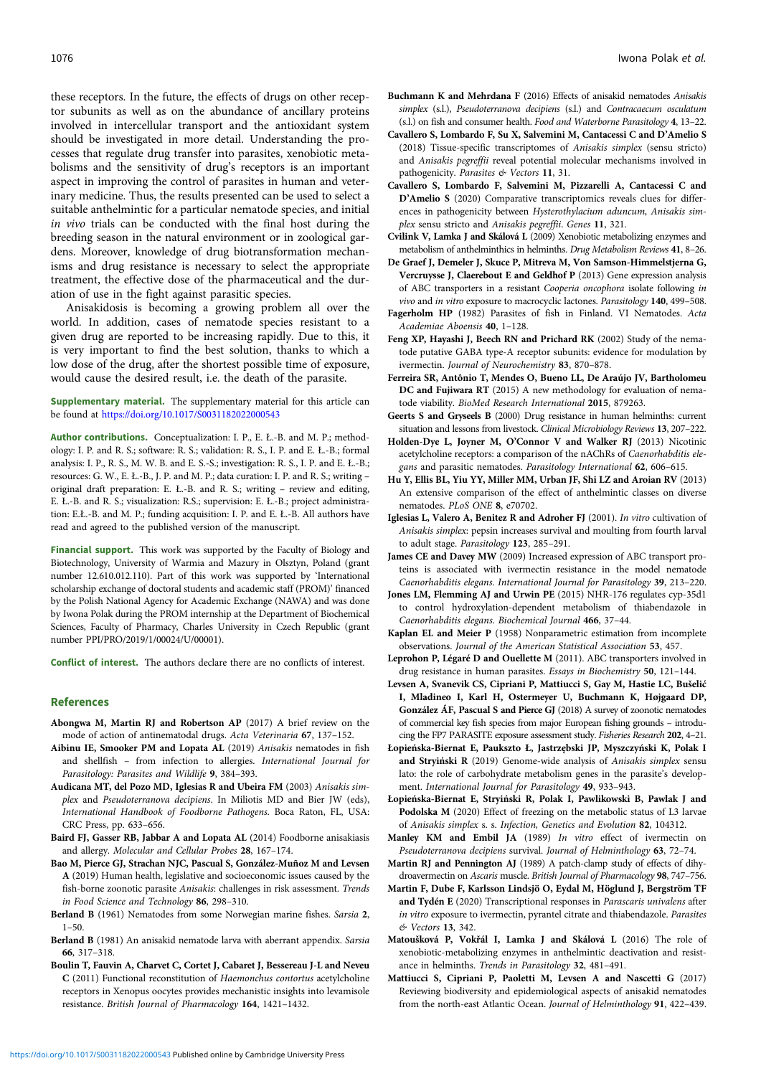<span id="page-11-0"></span>these receptors. In the future, the effects of drugs on other receptor subunits as well as on the abundance of ancillary proteins involved in intercellular transport and the antioxidant system should be investigated in more detail. Understanding the processes that regulate drug transfer into parasites, xenobiotic metabolisms and the sensitivity of drug's receptors is an important aspect in improving the control of parasites in human and veterinary medicine. Thus, the results presented can be used to select a suitable anthelmintic for a particular nematode species, and initial in vivo trials can be conducted with the final host during the breeding season in the natural environment or in zoological gardens. Moreover, knowledge of drug biotransformation mechanisms and drug resistance is necessary to select the appropriate treatment, the effective dose of the pharmaceutical and the duration of use in the fight against parasitic species.

Anisakidosis is becoming a growing problem all over the world. In addition, cases of nematode species resistant to a given drug are reported to be increasing rapidly. Due to this, it is very important to find the best solution, thanks to which a low dose of the drug, after the shortest possible time of exposure, would cause the desired result, i.e. the death of the parasite.

Supplementary material. The supplementary material for this article can be found at <https://doi.org/10.1017/S0031182022000543>

Author contributions. Conceptualization: I. P., E. Ł.-B. and M. P.; methodology: I. P. and R. S.; software: R. S.; validation: R. S., I. P. and E. Ł.-B.; formal analysis: I. P., R. S., M. W. B. and E. S.-S.; investigation: R. S., I. P. and E. Ł.-B.; resources: G. W., E. Ł.-B., J. P. and M. P.; data curation: I. P. and R. S.; writing – original draft preparation: E. Ł.-B. and R. S.; writing – review and editing, E. Ł.-B. and R. S.; visualization: R.S.; supervision: E. Ł.-B.; project administration: E.Ł.-B. and M. P.; funding acquisition: I. P. and E. Ł.-B. All authors have read and agreed to the published version of the manuscript.

Financial support. This work was supported by the Faculty of Biology and Biotechnology, University of Warmia and Mazury in Olsztyn, Poland (grant number 12.610.012.110). Part of this work was supported by 'International scholarship exchange of doctoral students and academic staff (PROM)' financed by the Polish National Agency for Academic Exchange (NAWA) and was done by Iwona Polak during the PROM internship at the Department of Biochemical Sciences, Faculty of Pharmacy, Charles University in Czech Republic (grant number PPI/PRO/2019/1/00024/U/00001).

Conflict of interest. The authors declare there are no conflicts of interest.

#### References

- Abongwa M, Martin RJ and Robertson AP (2017) A brief review on the mode of action of antinematodal drugs. Acta Veterinaria 67, 137–152.
- Aibinu IE, Smooker PM and Lopata AL (2019) Anisakis nematodes in fish and shellfish – from infection to allergies. International Journal for Parasitology: Parasites and Wildlife 9, 384–393.
- Audicana MT, del Pozo MD, Iglesias R and Ubeira FM (2003) Anisakis simplex and Pseudoterranova decipiens. In Miliotis MD and Bier JW (eds), International Handbook of Foodborne Pathogens. Boca Raton, FL, USA: CRC Press, pp. 633–656.
- Baird FJ, Gasser RB, Jabbar A and Lopata AL (2014) Foodborne anisakiasis and allergy. Molecular and Cellular Probes 28, 167–174.
- Bao M, Pierce GJ, Strachan NJC, Pascual S, González-Muñoz M and Levsen A (2019) Human health, legislative and socioeconomic issues caused by the fish-borne zoonotic parasite Anisakis: challenges in risk assessment. Trends in Food Science and Technology 86, 298–310.
- Berland B (1961) Nematodes from some Norwegian marine fishes. Sarsia 2,  $1 - 50$
- Berland B (1981) An anisakid nematode larva with aberrant appendix. Sarsia 66, 317–318.
- Boulin T, Fauvin A, Charvet C, Cortet J, Cabaret J, Bessereau J-L and Neveu C (2011) Functional reconstitution of Haemonchus contortus acetylcholine receptors in Xenopus oocytes provides mechanistic insights into levamisole resistance. British Journal of Pharmacology 164, 1421–1432.
- Buchmann K and Mehrdana F (2016) Effects of anisakid nematodes Anisakis simplex (s.l.), Pseudoterranova decipiens (s.l.) and Contracaecum osculatum (s.l.) on fish and consumer health. Food and Waterborne Parasitology 4, 13–22.
- Cavallero S, Lombardo F, Su X, Salvemini M, Cantacessi C and D'Amelio S (2018) Tissue-specific transcriptomes of Anisakis simplex (sensu stricto) and Anisakis pegreffii reveal potential molecular mechanisms involved in pathogenicity. Parasites & Vectors 11, 31.
- Cavallero S, Lombardo F, Salvemini M, Pizzarelli A, Cantacessi C and D'Amelio S (2020) Comparative transcriptomics reveals clues for differences in pathogenicity between Hysterothylacium aduncum, Anisakis simplex sensu stricto and Anisakis pegreffii. Genes 11, 321.
- Cvilink V, Lamka J and Skálová L (2009) Xenobiotic metabolizing enzymes and metabolism of anthelminthics in helminths. Drug Metabolism Reviews 41, 8–26.
- De Graef J, Demeler J, Skuce P, Mitreva M, Von Samson-Himmelstjerna G, Vercruysse J, Claerebout E and Geldhof P (2013) Gene expression analysis of ABC transporters in a resistant Cooperia oncophora isolate following in vivo and in vitro exposure to macrocyclic lactones. Parasitology 140, 499–508.
- Fagerholm HP (1982) Parasites of fish in Finland. VI Nematodes. Acta Academiae Aboensis 40, 1–128.
- Feng XP, Hayashi J, Beech RN and Prichard RK (2002) Study of the nematode putative GABA type-A receptor subunits: evidence for modulation by ivermectin. Journal of Neurochemistry 83, 870–878.
- Ferreira SR, Antônio T, Mendes O, Bueno LL, De Araújo JV, Bartholomeu DC and Fujiwara RT (2015) A new methodology for evaluation of nematode viability. BioMed Research International 2015, 879263.
- Geerts S and Gryseels B (2000) Drug resistance in human helminths: current situation and lessons from livestock. Clinical Microbiology Reviews 13, 207–222.
- Holden-Dye L, Joyner M, O'Connor V and Walker RJ (2013) Nicotinic acetylcholine receptors: a comparison of the nAChRs of Caenorhabditis elegans and parasitic nematodes. Parasitology International 62, 606–615.
- Hu Y, Ellis BL, Yiu YY, Miller MM, Urban JF, Shi LZ and Aroian RV (2013) An extensive comparison of the effect of anthelmintic classes on diverse nematodes. PLoS ONE 8, e70702.
- Iglesias L, Valero A, Benitez R and Adroher FJ (2001). In vitro cultivation of Anisakis simplex: pepsin increases survival and moulting from fourth larval to adult stage. Parasitology 123, 285–291.
- James CE and Davey MW (2009) Increased expression of ABC transport proteins is associated with ivermectin resistance in the model nematode Caenorhabditis elegans. International Journal for Parasitology 39, 213–220.
- Jones LM, Flemming AJ and Urwin PE (2015) NHR-176 regulates cyp-35d1 to control hydroxylation-dependent metabolism of thiabendazole in Caenorhabditis elegans. Biochemical Journal 466, 37–44.
- Kaplan EL and Meier P (1958) Nonparametric estimation from incomplete observations. Journal of the American Statistical Association 53, 457.
- Leprohon P, Légaré D and Ouellette M (2011). ABC transporters involved in drug resistance in human parasites. Essays in Biochemistry 50, 121–144.
- Levsen A, Svanevik CS, Cipriani P, Mattiucci S, Gay M, Hastie LC, Bušelić I, Mladineo I, Karl H, Ostermeyer U, Buchmann K, Højgaard DP, González ÁF, Pascual S and Pierce GJ (2018) A survey of zoonotic nematodes of commercial key fish species from major European fishing grounds – introducing the FP7 PARASITE exposure assessment study. Fisheries Research 202, 4–21.
- Łopieńska-Biernat E, Paukszto Ł, Jastrzębski JP, Myszczyński K, Polak I and Stryiński R (2019) Genome-wide analysis of Anisakis simplex sensu lato: the role of carbohydrate metabolism genes in the parasite's development. International Journal for Parasitology 49, 933–943.
- Łopieńska-Biernat E, Stryiński R, Polak I, Pawlikowski B, Pawlak J and Podolska M (2020) Effect of freezing on the metabolic status of L3 larvae of Anisakis simplex s. s. Infection, Genetics and Evolution 82, 104312.
- Manley KM and Embil JA (1989) In vitro effect of ivermectin on Pseudoterranova decipiens survival. Journal of Helminthology 63, 72–74.
- Martin RJ and Pennington AJ (1989) A patch-clamp study of effects of dihydroavermectin on Ascaris muscle. British Journal of Pharmacology 98, 747–756.
- Martin F, Dube F, Karlsson Lindsjö O, Eydal M, Höglund J, Bergström TF and Tydén E (2020) Transcriptional responses in Parascaris univalens after in vitro exposure to ivermectin, pyrantel citrate and thiabendazole. Parasites & Vectors 13, 342.
- Matoušková P, Vokřál I, Lamka J and Skálová L (2016) The role of xenobiotic-metabolizing enzymes in anthelmintic deactivation and resistance in helminths. Trends in Parasitology 32, 481–491.
- Mattiucci S, Cipriani P, Paoletti M, Levsen A and Nascetti G (2017) Reviewing biodiversity and epidemiological aspects of anisakid nematodes from the north-east Atlantic Ocean. Journal of Helminthology 91, 422–439.